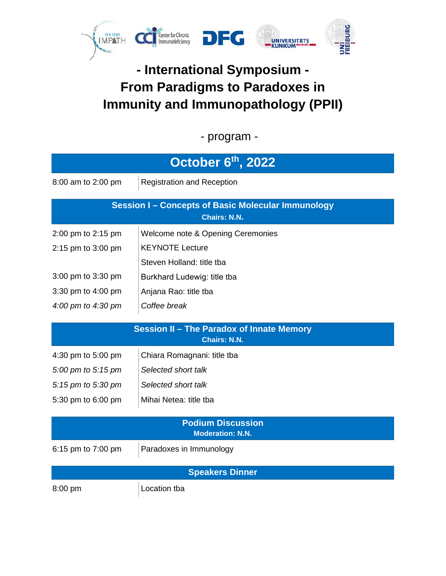

## **- International Symposium - From Paradigms to Paradoxes in Immunity and Immunopathology (PPII)**

- program -

| October 6th, 2022                                                       |                                   |  |
|-------------------------------------------------------------------------|-----------------------------------|--|
| 8:00 am to 2:00 pm                                                      | <b>Registration and Reception</b> |  |
| <b>Session I-Concepts of Basic Molecular Immunology</b>                 |                                   |  |
| <b>Chairs: N.N.</b>                                                     |                                   |  |
| 2:00 pm to 2:15 pm                                                      | Welcome note & Opening Ceremonies |  |
| 2:15 pm to 3:00 pm                                                      | <b>KEYNOTE Lecture</b>            |  |
|                                                                         | Steven Holland: title tba         |  |
| 3:00 pm to 3:30 pm                                                      | Burkhard Ludewig: title tba       |  |
| 3:30 pm to 4:00 pm                                                      | Anjana Rao: title tba             |  |
| 4:00 pm to 4:30 pm                                                      | Coffee break                      |  |
|                                                                         |                                   |  |
| <b>Session II - The Paradox of Innate Memory</b><br><b>Chairs: N.N.</b> |                                   |  |
| 4:30 pm to 5:00 pm                                                      | Chiara Romagnani: title tba       |  |
| 5:00 pm to 5:15 pm                                                      | Selected short talk               |  |
| 5:15 pm to 5:30 pm                                                      | Selected short talk               |  |
| 5:30 pm to 6:00 pm                                                      | Mihai Netea: title tba            |  |
| <b>Podium Discussion</b>                                                |                                   |  |
|                                                                         | <b>Moderation: N.N.</b>           |  |
| 6:15 pm to 7:00 pm                                                      | Paradoxes in Immunology           |  |
| <b>Speakers Dinner</b>                                                  |                                   |  |
| $8:00$ pm                                                               | Location tba                      |  |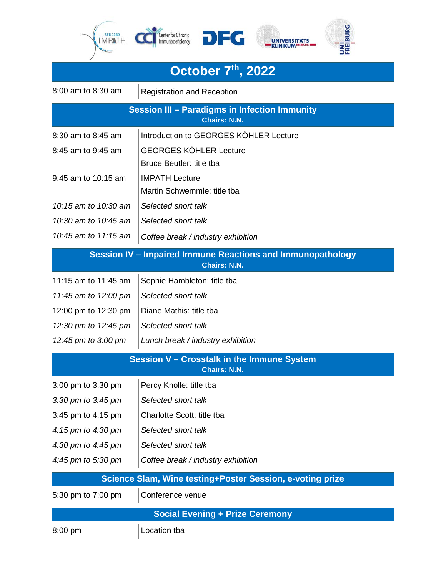

| October 7 <sup>th</sup> , 2022                                                    |                                        |  |
|-----------------------------------------------------------------------------------|----------------------------------------|--|
| 8:00 am to 8:30 am                                                                | <b>Registration and Reception</b>      |  |
| <b>Session III - Paradigms in Infection Immunity</b><br><b>Chairs: N.N.</b>       |                                        |  |
| 8:30 am to 8:45 am                                                                | Introduction to GEORGES KÖHLER Lecture |  |
| 8:45 am to 9:45 am                                                                | <b>GEORGES KÖHLER Lecture</b>          |  |
|                                                                                   | Bruce Beutler: title tba               |  |
| $9:45$ am to 10:15 am                                                             | <b>IMPATH Lecture</b>                  |  |
|                                                                                   | Martin Schwemmle: title tba            |  |
| 10:15 am to 10:30 am                                                              | Selected short talk                    |  |
| 10:30 am to 10:45 am                                                              | Selected short talk                    |  |
| 10:45 am to 11:15 am                                                              | Coffee break / industry exhibition     |  |
| Session IV - Impaired Immune Reactions and Immunopathology<br><b>Chairs: N.N.</b> |                                        |  |
| 11:15 am to 11:45 am                                                              | Sophie Hambleton: title tba            |  |
| 11:45 am to 12:00 pm                                                              | Selected short talk                    |  |
| 12:00 pm to 12:30 pm                                                              | Diane Mathis: title tba                |  |
| 12:30 pm to 12:45 pm                                                              | Selected short talk                    |  |
| 12:45 pm to 3:00 pm                                                               | Lunch break / industry exhibition      |  |
| Session V - Crosstalk in the Immune System<br><b>Chairs: N.N.</b>                 |                                        |  |
| 3:00 pm to 3:30 pm                                                                | Percy Knolle: title tba                |  |
| 3:30 pm to 3:45 pm                                                                | Selected short talk                    |  |
| 3:45 pm to 4:15 pm                                                                | Charlotte Scott: title tba             |  |
| 4:15 pm to 4:30 pm                                                                | Selected short talk                    |  |
| 4:30 pm to 4:45 pm                                                                | Selected short talk                    |  |
| 4:45 pm to 5:30 pm                                                                | Coffee break / industry exhibition     |  |
| Science Slam, Wine testing+Poster Session, e-voting prize                         |                                        |  |
| 5:30 pm to 7:00 pm                                                                | Conference venue                       |  |
| <b>Social Evening + Prize Ceremony</b>                                            |                                        |  |
| 8:00 pm                                                                           | Location tba                           |  |